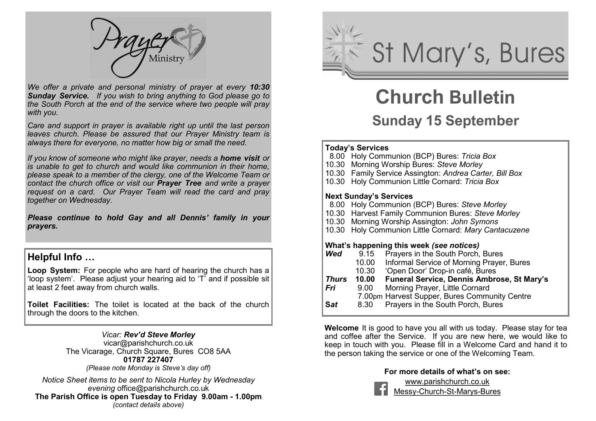

*We offer a private and personal ministry of prayer at every 10:30 Sunday Service. If you wish to bring anything to God please go to the South Porch at the end of the service where two people will pray with you.*

*Care and support in prayer is available right up until the last person leaves church. Please be assured that our Prayer Ministry team is always there for everyone, no matter how big or small the need.* 

*If you know of someone who might like prayer, needs a home visit or is unable to get to church and would like communion in their home, please speak to a member of the clergy, one of the Welcome Team or contact the church office or visit our Prayer Tree and write a prayer request on a card. Our Prayer Team will read the card and pray together on Wednesday.*

*Please continue to hold Gay and all Dennis' family in your prayers.* 

#### **Helpful Info …**

**Loop System:** For people who are hard of hearing the church has a 'loop system'. Please adjust your hearing aid to 'T' and if possible sit at least 2 feet away from church walls.

**Toilet Facilities:** The toilet is located at the back of the church through the doors to the kitchen.

#### *Vicar: Rev'd Steve Morley*

vicar@parishchurch.co.uk The Vicarage, Church Square, Bures, CO8 5AA **01787 227407** 

*(Please note Monday is Steve's day off)*

*Notice Sheet items to be sent to Nicola Hurley by Wednesday evening* office@parishchurch.co.uk **The Parish Office is open Tuesday to Friday 9.00am - 1.00pm**  *(contact details above)*



# **Church Bulletin**

# **Sunday 15 September**

#### **Today's Services**

- 8.00 Holy Communion (BCP) Bures: *Tricia Box*
- 10.30 Morning Worship Bures: *Steve Morley*
- 10.30 Family Service Assington: *Andrea Carter, Bill Box*
- 10.30 Holy Communion Little Cornard: *Tricia Box*

#### **Next Sunday's Services**

- 8.00 Holy Communion (BCP) Bures: *Steve Morley*
- 10.30 Harvest Family Communion Bures: *Steve Morley*
- 10.30 Morning Worship Assington: *John Symons*
- 10.30 Holy Communion Little Cornard: *Mary Cantacuzene*

#### **What's happening this week** *(see notices)*

| Wed          | 9.15  | Prayers in the South Porch, Bures             |
|--------------|-------|-----------------------------------------------|
|              | 10.00 | Informal Service of Morning Prayer, Bures     |
|              | 10.30 | 'Open Door' Drop-in café, Bures               |
| <b>Thurs</b> | 10.00 | Funeral Service, Dennis Ambrose, St Mary's    |
| Fri          | 9.00  | Morning Prayer, Little Cornard                |
|              |       | 7.00pm Harvest Supper, Bures Community Centre |
| <b>Sat</b>   | 8.30  | Prayers in the South Porch, Bures             |
|              |       |                                               |

**Welcome** It is good to have you all with us today. Please stay for tea and coffee after the Service. If you are new here, we would like to keep in touch with you. Please fill in a Welcome Card and hand it to the person taking the service or one of the Welcoming Team.

#### **For more details of what's on see:**

www.parishchurch.co.uk Messy-Church-St-Marys-Bures